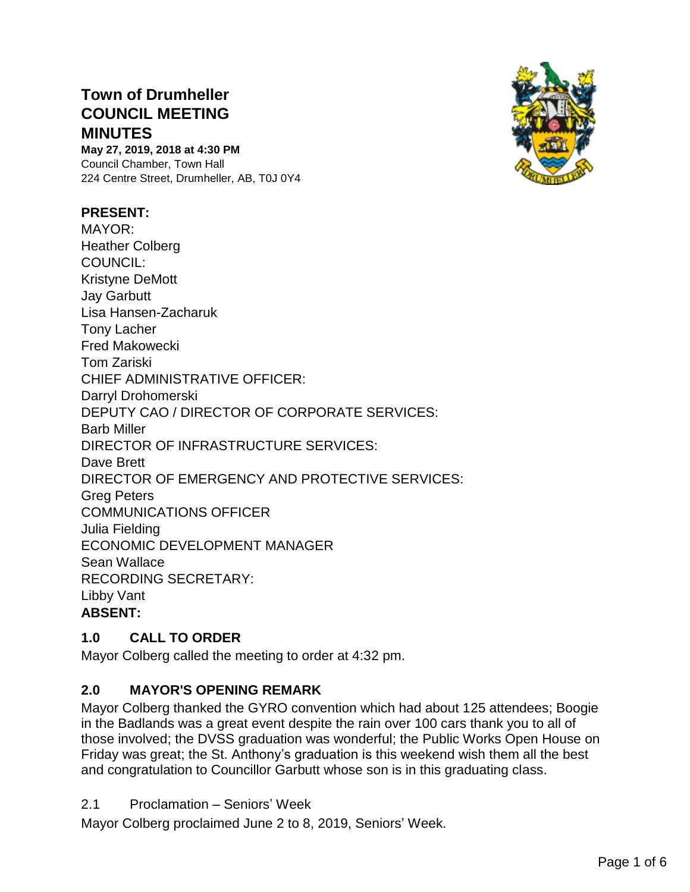# **Town of Drumheller COUNCIL MEETING MINUTES**

**May 27, 2019, 2018 at 4:30 PM** Council Chamber, Town Hall 224 Centre Street, Drumheller, AB, T0J 0Y4

#### **PRESENT:**



## **1.0 CALL TO ORDER**

Mayor Colberg called the meeting to order at 4:32 pm.

## **2.0 MAYOR'S OPENING REMARK**

Mayor Colberg thanked the GYRO convention which had about 125 attendees; Boogie in the Badlands was a great event despite the rain over 100 cars thank you to all of those involved; the DVSS graduation was wonderful; the Public Works Open House on Friday was great; the St. Anthony's graduation is this weekend wish them all the best and congratulation to Councillor Garbutt whose son is in this graduating class.

2.1 Proclamation – Seniors' Week

Mayor Colberg proclaimed June 2 to 8, 2019, Seniors' Week.

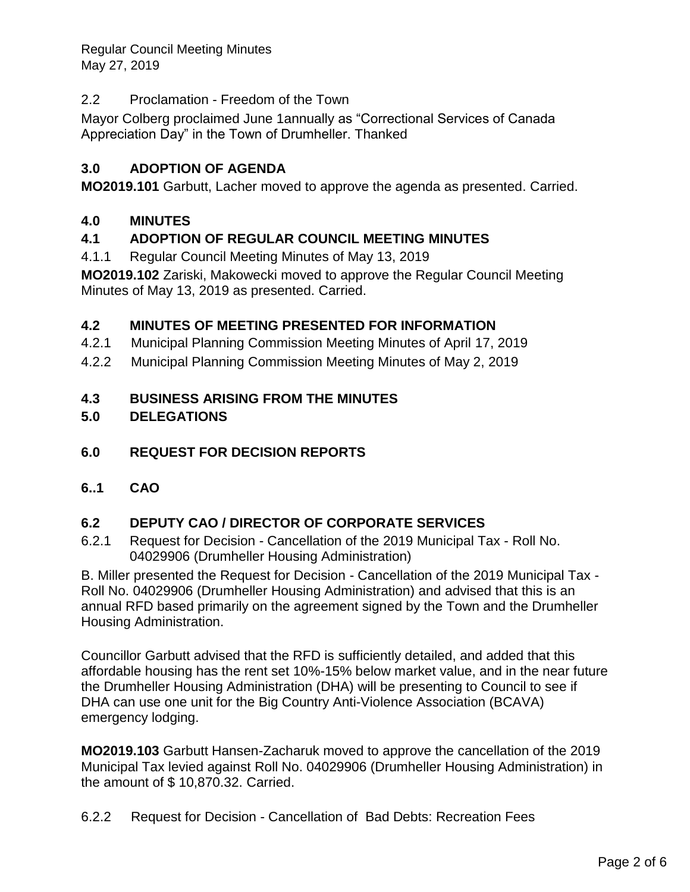# 2.2 Proclamation - Freedom of the Town

Mayor Colberg proclaimed June 1annually as "Correctional Services of Canada Appreciation Day" in the Town of Drumheller. Thanked

# **3.0 ADOPTION OF AGENDA**

**MO2019.101** Garbutt, Lacher moved to approve the agenda as presented. Carried.

#### **4.0 MINUTES**

## **4.1 ADOPTION OF REGULAR COUNCIL MEETING MINUTES**

4.1.1 Regular Council Meeting Minutes of May 13, 2019

**MO2019.102** Zariski, Makowecki moved to approve the Regular Council Meeting Minutes of May 13, 2019 as presented. Carried.

## **4.2 MINUTES OF MEETING PRESENTED FOR INFORMATION**

- 4.2.1 Municipal Planning Commission Meeting Minutes of April 17, 2019
- 4.2.2 Municipal Planning Commission Meeting Minutes of May 2, 2019

#### **4.3 BUSINESS ARISING FROM THE MINUTES**

#### **5.0 DELEGATIONS**

- **6.0 REQUEST FOR DECISION REPORTS**
- **6..1 CAO**

## **6.2 DEPUTY CAO / DIRECTOR OF CORPORATE SERVICES**

6.2.1 Request for Decision - Cancellation of the 2019 Municipal Tax - Roll No. 04029906 (Drumheller Housing Administration)

B. Miller presented the Request for Decision - Cancellation of the 2019 Municipal Tax - Roll No. 04029906 (Drumheller Housing Administration) and advised that this is an annual RFD based primarily on the agreement signed by the Town and the Drumheller Housing Administration.

Councillor Garbutt advised that the RFD is sufficiently detailed, and added that this affordable housing has the rent set 10%-15% below market value, and in the near future the Drumheller Housing Administration (DHA) will be presenting to Council to see if DHA can use one unit for the Big Country Anti-Violence Association (BCAVA) emergency lodging.

**MO2019.103** Garbutt Hansen-Zacharuk moved to approve the cancellation of the 2019 Municipal Tax levied against Roll No. 04029906 (Drumheller Housing Administration) in the amount of \$ 10,870.32. Carried.

6.2.2 Request for Decision - Cancellation of Bad Debts: Recreation Fees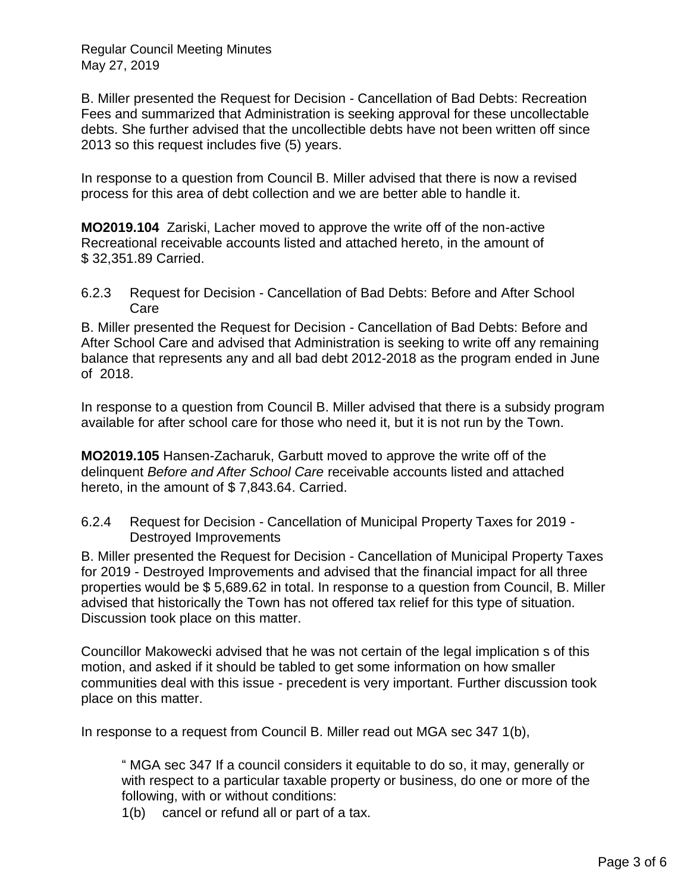B. Miller presented the Request for Decision - Cancellation of Bad Debts: Recreation Fees and summarized that Administration is seeking approval for these uncollectable debts. She further advised that the uncollectible debts have not been written off since 2013 so this request includes five (5) years.

In response to a question from Council B. Miller advised that there is now a revised process for this area of debt collection and we are better able to handle it.

**MO2019.104** Zariski, Lacher moved to approve the write off of the non-active Recreational receivable accounts listed and attached hereto, in the amount of \$ 32,351.89 Carried.

6.2.3 Request for Decision - Cancellation of Bad Debts: Before and After School Care

B. Miller presented the Request for Decision - Cancellation of Bad Debts: Before and After School Care and advised that Administration is seeking to write off any remaining balance that represents any and all bad debt 2012-2018 as the program ended in June of 2018.

In response to a question from Council B. Miller advised that there is a subsidy program available for after school care for those who need it, but it is not run by the Town.

**MO2019.105** Hansen-Zacharuk, Garbutt moved to approve the write off of the delinquent *Before and After School Care* receivable accounts listed and attached hereto, in the amount of \$7,843.64. Carried.

6.2.4 Request for Decision - Cancellation of Municipal Property Taxes for 2019 - Destroyed Improvements

B. Miller presented the Request for Decision - Cancellation of Municipal Property Taxes for 2019 - Destroyed Improvements and advised that the financial impact for all three properties would be \$ 5,689.62 in total. In response to a question from Council, B. Miller advised that historically the Town has not offered tax relief for this type of situation. Discussion took place on this matter.

Councillor Makowecki advised that he was not certain of the legal implication s of this motion, and asked if it should be tabled to get some information on how smaller communities deal with this issue - precedent is very important. Further discussion took place on this matter.

In response to a request from Council B. Miller read out MGA sec 347 1(b),

" MGA sec 347 If a council considers it equitable to do so, it may, generally or with respect to a particular taxable property or business, do one or more of the following, with or without conditions:

1(b) cancel or refund all or part of a tax.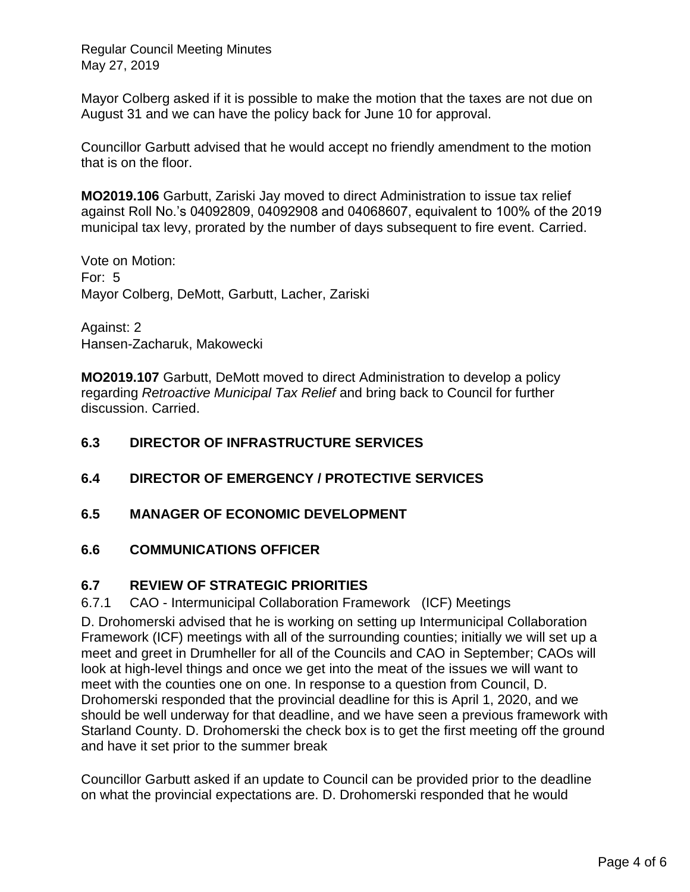Mayor Colberg asked if it is possible to make the motion that the taxes are not due on August 31 and we can have the policy back for June 10 for approval.

Councillor Garbutt advised that he would accept no friendly amendment to the motion that is on the floor.

**MO2019.106** Garbutt, Zariski Jay moved to direct Administration to issue tax relief against Roll No.'s 04092809, 04092908 and 04068607, equivalent to 100% of the 2019 municipal tax levy, prorated by the number of days subsequent to fire event. Carried.

Vote on Motion: For: 5 Mayor Colberg, DeMott, Garbutt, Lacher, Zariski

Against: 2 Hansen-Zacharuk, Makowecki

**MO2019.107** Garbutt, DeMott moved to direct Administration to develop a policy regarding *Retroactive Municipal Tax Relief* and bring back to Council for further discussion. Carried.

## **6.3 DIRECTOR OF INFRASTRUCTURE SERVICES**

- **6.4 DIRECTOR OF EMERGENCY / PROTECTIVE SERVICES**
- **6.5 MANAGER OF ECONOMIC DEVELOPMENT**

#### **6.6 COMMUNICATIONS OFFICER**

## **6.7 REVIEW OF STRATEGIC PRIORITIES**

#### 6.7.1 CAO - Intermunicipal Collaboration Framework (ICF) Meetings

D. Drohomerski advised that he is working on setting up Intermunicipal Collaboration Framework (ICF) meetings with all of the surrounding counties; initially we will set up a meet and greet in Drumheller for all of the Councils and CAO in September; CAOs will look at high-level things and once we get into the meat of the issues we will want to meet with the counties one on one. In response to a question from Council, D. Drohomerski responded that the provincial deadline for this is April 1, 2020, and we should be well underway for that deadline, and we have seen a previous framework with Starland County. D. Drohomerski the check box is to get the first meeting off the ground and have it set prior to the summer break

Councillor Garbutt asked if an update to Council can be provided prior to the deadline on what the provincial expectations are. D. Drohomerski responded that he would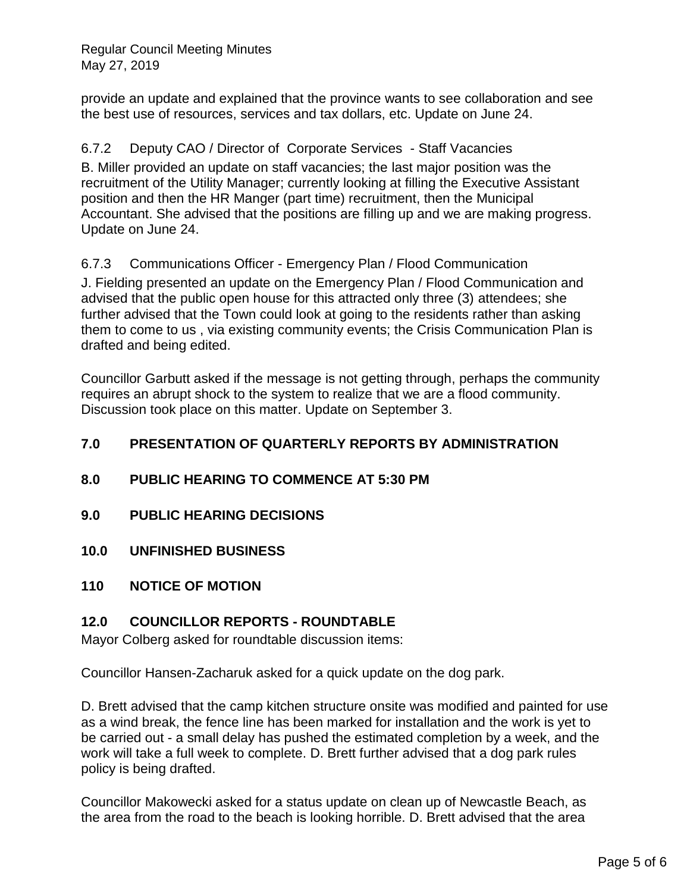provide an update and explained that the province wants to see collaboration and see the best use of resources, services and tax dollars, etc. Update on June 24.

# 6.7.2 Deputy CAO / Director of Corporate Services - Staff Vacancies

B. Miller provided an update on staff vacancies; the last major position was the recruitment of the Utility Manager; currently looking at filling the Executive Assistant position and then the HR Manger (part time) recruitment, then the Municipal Accountant. She advised that the positions are filling up and we are making progress. Update on June 24.

## 6.7.3 Communications Officer - Emergency Plan / Flood Communication

J. Fielding presented an update on the Emergency Plan / Flood Communication and advised that the public open house for this attracted only three (3) attendees; she further advised that the Town could look at going to the residents rather than asking them to come to us , via existing community events; the Crisis Communication Plan is drafted and being edited.

Councillor Garbutt asked if the message is not getting through, perhaps the community requires an abrupt shock to the system to realize that we are a flood community. Discussion took place on this matter. Update on September 3.

# **7.0 PRESENTATION OF QUARTERLY REPORTS BY ADMINISTRATION**

## **8.0 PUBLIC HEARING TO COMMENCE AT 5:30 PM**

- **9.0 PUBLIC HEARING DECISIONS**
- **10.0 UNFINISHED BUSINESS**

#### **110 NOTICE OF MOTION**

#### **12.0 COUNCILLOR REPORTS - ROUNDTABLE**

Mayor Colberg asked for roundtable discussion items:

Councillor Hansen-Zacharuk asked for a quick update on the dog park.

D. Brett advised that the camp kitchen structure onsite was modified and painted for use as a wind break, the fence line has been marked for installation and the work is yet to be carried out - a small delay has pushed the estimated completion by a week, and the work will take a full week to complete. D. Brett further advised that a dog park rules policy is being drafted.

Councillor Makowecki asked for a status update on clean up of Newcastle Beach, as the area from the road to the beach is looking horrible. D. Brett advised that the area